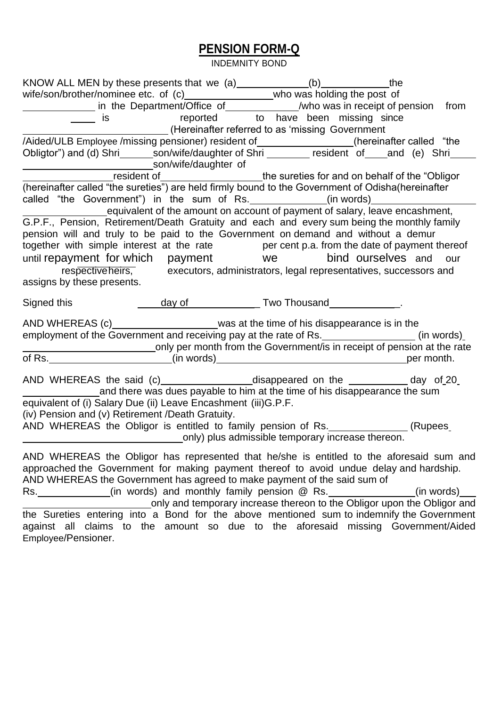## **PENSION FORM-Q**

INDEMNITY BOND

| KNOW ALL MEN by these presents that we $(a)$ ______________(b) ________________the                                                                                                                                                                                                                                                                                                                                                         |                                     |                                                                         |            |
|--------------------------------------------------------------------------------------------------------------------------------------------------------------------------------------------------------------------------------------------------------------------------------------------------------------------------------------------------------------------------------------------------------------------------------------------|-------------------------------------|-------------------------------------------------------------------------|------------|
|                                                                                                                                                                                                                                                                                                                                                                                                                                            |                                     |                                                                         |            |
|                                                                                                                                                                                                                                                                                                                                                                                                                                            |                                     |                                                                         |            |
| $\equiv$ is                                                                                                                                                                                                                                                                                                                                                                                                                                | reported to have been missing since |                                                                         |            |
|                                                                                                                                                                                                                                                                                                                                                                                                                                            |                                     |                                                                         |            |
| /Aided/ULB Employee /missing pensioner) resident of_________________(hereinafter called "the                                                                                                                                                                                                                                                                                                                                               |                                     |                                                                         |            |
| Obligtor") and (d) Shri ________son/wife/daughter of Shri __________ resident of ____and (e) Shri                                                                                                                                                                                                                                                                                                                                          |                                     |                                                                         |            |
|                                                                                                                                                                                                                                                                                                                                                                                                                                            |                                     |                                                                         |            |
|                                                                                                                                                                                                                                                                                                                                                                                                                                            |                                     |                                                                         |            |
|                                                                                                                                                                                                                                                                                                                                                                                                                                            |                                     |                                                                         |            |
| called "the Government") in the sum of Rs. ____________(in words)_______________                                                                                                                                                                                                                                                                                                                                                           |                                     |                                                                         |            |
| equivalent of the amount on account of payment of salary, leave encashment,<br>G.P.F., Pension, Retirement/Death Gratuity and each and every sum being the monthly family<br>pension will and truly to be paid to the Government on demand and without a demur<br>together with simple interest at the rate enther per cent p.a. from the date of payment thereof                                                                          |                                     |                                                                         |            |
| until repayment for which payment we bind ourselves and                                                                                                                                                                                                                                                                                                                                                                                    |                                     |                                                                         | our        |
| respective heirs, executors, administrators, legal representatives, successors and                                                                                                                                                                                                                                                                                                                                                         |                                     |                                                                         |            |
| assigns by these presents.                                                                                                                                                                                                                                                                                                                                                                                                                 |                                     |                                                                         |            |
| Signed this                                                                                                                                                                                                                                                                                                                                                                                                                                |                                     |                                                                         |            |
| AND WHEREAS (c) __________________________was at the time of his disappearance is in the<br>employment of the Government and receiving pay at the rate of Rs. _______________(in words)_<br>only per month from the Government/is in receipt of pension at the rate                                                                                                                                                                        |                                     |                                                                         |            |
|                                                                                                                                                                                                                                                                                                                                                                                                                                            |                                     |                                                                         |            |
| AND WHEREAS the said (c) ____________________disappeared on the ____________ day of_20_<br>and there was dues payable to him at the time of his disappearance the sum                                                                                                                                                                                                                                                                      |                                     |                                                                         |            |
| equivalent of (i) Salary Due (ii) Leave Encashment (iii) G.P.F.                                                                                                                                                                                                                                                                                                                                                                            |                                     |                                                                         |            |
| (iv) Pension and (v) Retirement /Death Gratuity.                                                                                                                                                                                                                                                                                                                                                                                           |                                     |                                                                         |            |
| AND WHEREAS the Obligor is entitled to family pension of Rs. ______________(Rupees_<br>only) plus admissible temporary increase thereon.                                                                                                                                                                                                                                                                                                   |                                     |                                                                         |            |
|                                                                                                                                                                                                                                                                                                                                                                                                                                            |                                     |                                                                         |            |
| AND WHEREAS the Obligor has represented that he/she is entitled to the aforesaid sum and<br>approached the Government for making payment thereof to avoid undue delay and hardship.<br>AND WHEREAS the Government has agreed to make payment of the said sum of<br>Rs. ____________(in words) and monthly family pension @ Rs. ______________<br>the Sureties entering into a Bond for the above mentioned sum to indemnify the Government |                                     | only and temporary increase thereon to the Obligor upon the Obligor and | (in words) |
| against all claims to the amount so due to the aforesaid missing Government/Aided<br>Employee/Pensioner.                                                                                                                                                                                                                                                                                                                                   |                                     |                                                                         |            |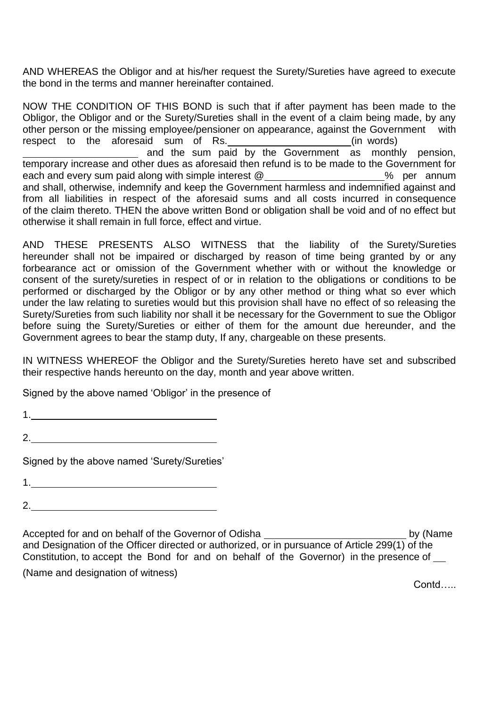AND WHEREAS the Obligor and at his/her request the Surety/Sureties have agreed to execute the bond in the terms and manner hereinafter contained.

NOW THE CONDITION OF THIS BOND is such that if after payment has been made to the Obligor, the Obligor and or the Surety/Sureties shall in the event of a claim being made, by any other person or the missing employee/pensioner on appearance, against the Government with respect to the aforesaid sum of Rs. **Example 20** (in words) and the sum paid by the Government as monthly pension, temporary increase and other dues as aforesaid then refund is to be made to the Government for each and every sum paid along with simple interest  $@$  \_\_\_\_\_\_\_\_\_\_\_\_\_\_\_\_\_\_\_\_\_% per annum and shall, otherwise, indemnify and keep the Government harmless and indemnified against and from all liabilities in respect of the aforesaid sums and all costs incurred in consequence of the claim thereto. THEN the above written Bond or obligation shall be void and of no effect but otherwise it shall remain in full force, effect and virtue.

AND THESE PRESENTS ALSO WITNESS that the liability of the Surety/Sureties hereunder shall not be impaired or discharged by reason of time being granted by or any forbearance act or omission of the Government whether with or without the knowledge or consent of the surety/sureties in respect of or in relation to the obligations or conditions to be performed or discharged by the Obligor or by any other method or thing what so ever which under the law relating to sureties would but this provision shall have no effect of so releasing the Surety/Sureties from such liability nor shall it be necessary for the Government to sue the Obligor before suing the Surety/Sureties or either of them for the amount due hereunder, and the Government agrees to bear the stamp duty, If any, chargeable on these presents.

IN WITNESS WHEREOF the Obligor and the Surety/Sureties hereto have set and subscribed their respective hands hereunto on the day, month and year above written.

Signed by the above named 'Obligor' in the presence of

1.

2.

Signed by the above named 'Surety/Sureties'

1. <u>\_\_\_\_\_\_\_\_\_\_\_\_\_\_\_\_\_\_\_\_\_\_\_\_\_\_\_\_\_\_\_\_\_\_</u>\_

2.

Accepted for and on behalf of the Governor of Odisha **by (Name** by (Name and Designation of the Officer directed or authorized, or in pursuance of Article 299(1) of the Constitution, to accept the Bond for and on behalf of the Governor) in the presence of

(Name and designation of witness)

Contd…..